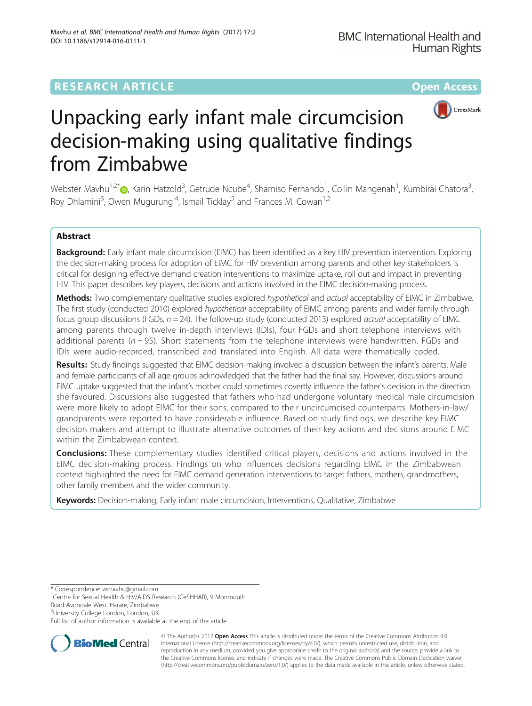## **RESEARCH ARTICLE Example 2014 12:30 The Contract of Contract Article 2014**



# Unpacking early infant male circumcision decision-making using qualitative findings from Zimbabwe

Webster Mavhu<sup>1,2[\\*](http://orcid.org/0000-0003-1881-4398)</sup>®, Karin Hatzold<sup>3</sup>, Getrude Ncube<sup>4</sup>, Shamiso Fernando<sup>1</sup>, Collin Mangenah<sup>1</sup>, Kumbirai Chatora<sup>3</sup> , Roy Dhlamini<sup>3</sup>, Owen Mugurungi<sup>4</sup>, Ismail Ticklay<sup>5</sup> and Frances M. Cowan<sup>1,2</sup>

## Abstract

Background: Early infant male circumcision (EIMC) has been identified as a key HIV prevention intervention. Exploring the decision-making process for adoption of EIMC for HIV prevention among parents and other key stakeholders is critical for designing effective demand creation interventions to maximize uptake, roll out and impact in preventing HIV. This paper describes key players, decisions and actions involved in the EIMC decision-making process.

Methods: Two complementary qualitative studies explored hypothetical and actual acceptability of EIMC in Zimbabwe. The first study (conducted 2010) explored hypothetical acceptability of EIMC among parents and wider family through focus group discussions (FGDs,  $n = 24$ ). The follow-up study (conducted 2013) explored *actual* acceptability of EIMC among parents through twelve in-depth interviews (IDIs), four FGDs and short telephone interviews with additional parents ( $n = 95$ ). Short statements from the telephone interviews were handwritten. FGDs and IDIs were audio-recorded, transcribed and translated into English. All data were thematically coded.

Results: Study findings suggested that EIMC decision-making involved a discussion between the infant's parents. Male and female participants of all age groups acknowledged that the father had the final say. However, discussions around EIMC uptake suggested that the infant's mother could sometimes covertly influence the father's decision in the direction she favoured. Discussions also suggested that fathers who had undergone voluntary medical male circumcision were more likely to adopt EIMC for their sons, compared to their uncircumcised counterparts. Mothers-in-law/ grandparents were reported to have considerable influence. Based on study findings, we describe key EIMC decision makers and attempt to illustrate alternative outcomes of their key actions and decisions around EIMC within the Zimbabwean context.

**Conclusions:** These complementary studies identified critical players, decisions and actions involved in the EIMC decision-making process. Findings on who influences decisions regarding EIMC in the Zimbabwean context highlighted the need for EIMC demand generation interventions to target fathers, mothers, grandmothers, other family members and the wider community.

Keywords: Decision-making, Early infant male circumcision, Interventions, Qualitative, Zimbabwe

\* Correspondence: [wmavhu@gmail.com](mailto:wmavhu@gmail.com) <sup>1</sup>

<sup>1</sup> Centre for Sexual Health & HIV/AIDS Research (CeSHHAR), 9 Monmouth

Road Avondale West, Harare, Zimbabwe

<sup>2</sup>University College London, London, UK

Full list of author information is available at the end of the article



© The Author(s). 2017 **Open Access** This article is distributed under the terms of the Creative Commons Attribution 4.0 International License [\(http://creativecommons.org/licenses/by/4.0/](http://creativecommons.org/licenses/by/4.0/)), which permits unrestricted use, distribution, and reproduction in any medium, provided you give appropriate credit to the original author(s) and the source, provide a link to the Creative Commons license, and indicate if changes were made. The Creative Commons Public Domain Dedication waiver [\(http://creativecommons.org/publicdomain/zero/1.0/](http://creativecommons.org/publicdomain/zero/1.0/)) applies to the data made available in this article, unless otherwise stated.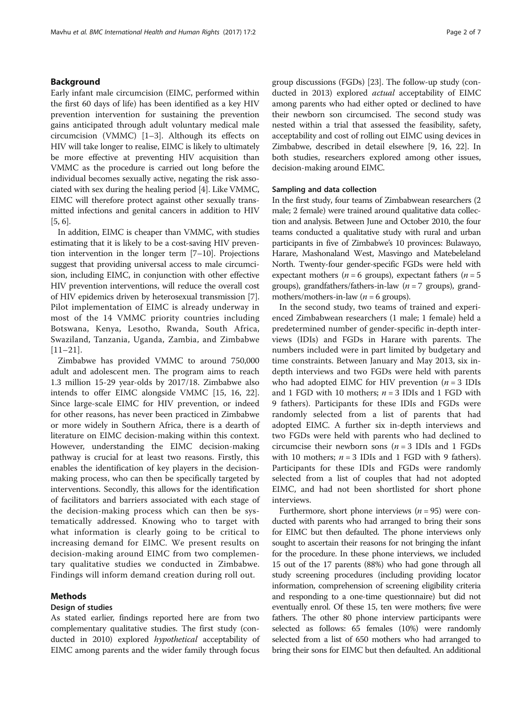## Background

Early infant male circumcision (EIMC, performed within the first 60 days of life) has been identified as a key HIV prevention intervention for sustaining the prevention gains anticipated through adult voluntary medical male circumcision (VMMC) [[1](#page-6-0)–[3\]](#page-6-0). Although its effects on HIV will take longer to realise, EIMC is likely to ultimately be more effective at preventing HIV acquisition than VMMC as the procedure is carried out long before the individual becomes sexually active, negating the risk associated with sex during the healing period [\[4](#page-6-0)]. Like VMMC, EIMC will therefore protect against other sexually transmitted infections and genital cancers in addition to HIV [[5, 6](#page-6-0)].

In addition, EIMC is cheaper than VMMC, with studies estimating that it is likely to be a cost-saving HIV prevention intervention in the longer term [[7](#page-6-0)–[10](#page-6-0)]. Projections suggest that providing universal access to male circumcision, including EIMC, in conjunction with other effective HIV prevention interventions, will reduce the overall cost of HIV epidemics driven by heterosexual transmission [[7](#page-6-0)]. Pilot implementation of EIMC is already underway in most of the 14 VMMC priority countries including Botswana, Kenya, Lesotho, Rwanda, South Africa, Swaziland, Tanzania, Uganda, Zambia, and Zimbabwe [[11](#page-6-0)–[21\]](#page-6-0).

Zimbabwe has provided VMMC to around 750,000 adult and adolescent men. The program aims to reach 1.3 million 15-29 year-olds by 2017/18. Zimbabwe also intends to offer EIMC alongside VMMC [\[15](#page-6-0), [16](#page-6-0), [22](#page-6-0)]. Since large-scale EIMC for HIV prevention, or indeed for other reasons, has never been practiced in Zimbabwe or more widely in Southern Africa, there is a dearth of literature on EIMC decision-making within this context. However, understanding the EIMC decision-making pathway is crucial for at least two reasons. Firstly, this enables the identification of key players in the decisionmaking process, who can then be specifically targeted by interventions. Secondly, this allows for the identification of facilitators and barriers associated with each stage of the decision-making process which can then be systematically addressed. Knowing who to target with what information is clearly going to be critical to increasing demand for EIMC. We present results on decision-making around EIMC from two complementary qualitative studies we conducted in Zimbabwe. Findings will inform demand creation during roll out.

## Methods

## Design of studies

As stated earlier, findings reported here are from two complementary qualitative studies. The first study (conducted in 2010) explored hypothetical acceptability of EIMC among parents and the wider family through focus group discussions (FGDs) [[23](#page-6-0)]. The follow-up study (conducted in 2013) explored actual acceptability of EIMC among parents who had either opted or declined to have their newborn son circumcised. The second study was nested within a trial that assessed the feasibility, safety, acceptability and cost of rolling out EIMC using devices in Zimbabwe, described in detail elsewhere [\[9](#page-6-0), [16, 22](#page-6-0)]. In both studies, researchers explored among other issues, decision-making around EIMC.

## Sampling and data collection

In the first study, four teams of Zimbabwean researchers (2 male; 2 female) were trained around qualitative data collection and analysis. Between June and October 2010, the four teams conducted a qualitative study with rural and urban participants in five of Zimbabwe's 10 provinces: Bulawayo, Harare, Mashonaland West, Masvingo and Matebeleland North. Twenty-four gender-specific FGDs were held with expectant mothers ( $n = 6$  groups), expectant fathers ( $n = 5$ groups), grandfathers/fathers-in-law  $(n = 7$  groups), grandmothers/mothers-in-law ( $n = 6$  groups).

In the second study, two teams of trained and experienced Zimbabwean researchers (1 male; 1 female) held a predetermined number of gender-specific in-depth interviews (IDIs) and FGDs in Harare with parents. The numbers included were in part limited by budgetary and time constraints. Between January and May 2013, six indepth interviews and two FGDs were held with parents who had adopted EIMC for HIV prevention  $(n = 3$  IDIs and 1 FGD with 10 mothers;  $n = 3$  IDIs and 1 FGD with 9 fathers). Participants for these IDIs and FGDs were randomly selected from a list of parents that had adopted EIMC. A further six in-depth interviews and two FGDs were held with parents who had declined to circumcise their newborn sons  $(n = 3 \text{ IDIs and } 1 \text{ FGDs})$ with 10 mothers;  $n = 3$  IDIs and 1 FGD with 9 fathers). Participants for these IDIs and FGDs were randomly selected from a list of couples that had not adopted EIMC, and had not been shortlisted for short phone interviews.

Furthermore, short phone interviews ( $n = 95$ ) were conducted with parents who had arranged to bring their sons for EIMC but then defaulted. The phone interviews only sought to ascertain their reasons for not bringing the infant for the procedure. In these phone interviews, we included 15 out of the 17 parents (88%) who had gone through all study screening procedures (including providing locator information, comprehension of screening eligibility criteria and responding to a one-time questionnaire) but did not eventually enrol. Of these 15, ten were mothers; five were fathers. The other 80 phone interview participants were selected as follows: 65 females (10%) were randomly selected from a list of 650 mothers who had arranged to bring their sons for EIMC but then defaulted. An additional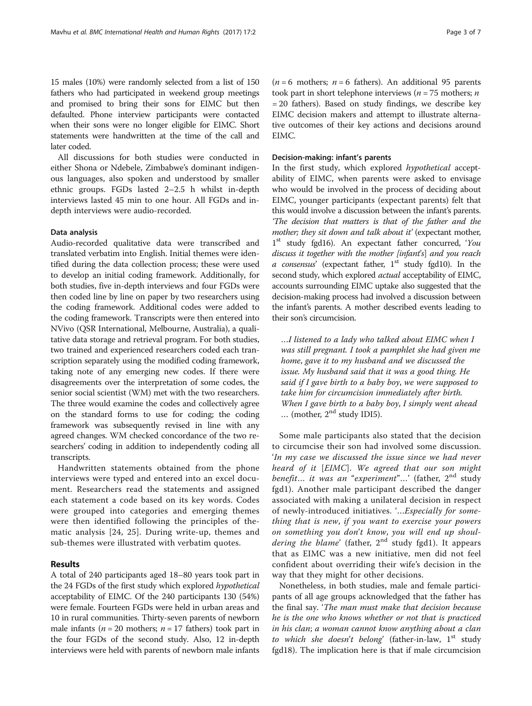15 males (10%) were randomly selected from a list of 150 fathers who had participated in weekend group meetings and promised to bring their sons for EIMC but then defaulted. Phone interview participants were contacted when their sons were no longer eligible for EIMC. Short statements were handwritten at the time of the call and later coded.

All discussions for both studies were conducted in either Shona or Ndebele, Zimbabwe's dominant indigenous languages, also spoken and understood by smaller ethnic groups. FGDs lasted 2–2.5 h whilst in-depth interviews lasted 45 min to one hour. All FGDs and indepth interviews were audio-recorded.

#### Data analysis

Audio-recorded qualitative data were transcribed and translated verbatim into English. Initial themes were identified during the data collection process; these were used to develop an initial coding framework. Additionally, for both studies, five in-depth interviews and four FGDs were then coded line by line on paper by two researchers using the coding framework. Additional codes were added to the coding framework. Transcripts were then entered into NVivo (QSR International, Melbourne, Australia), a qualitative data storage and retrieval program. For both studies, two trained and experienced researchers coded each transcription separately using the modified coding framework, taking note of any emerging new codes. If there were disagreements over the interpretation of some codes, the senior social scientist (WM) met with the two researchers. The three would examine the codes and collectively agree on the standard forms to use for coding; the coding framework was subsequently revised in line with any agreed changes. WM checked concordance of the two researchers' coding in addition to independently coding all transcripts.

Handwritten statements obtained from the phone interviews were typed and entered into an excel document. Researchers read the statements and assigned each statement a code based on its key words. Codes were grouped into categories and emerging themes were then identified following the principles of thematic analysis [\[24, 25\]](#page-6-0). During write-up, themes and sub-themes were illustrated with verbatim quotes.

## Results

A total of 240 participants aged 18–80 years took part in the 24 FGDs of the first study which explored hypothetical acceptability of EIMC. Of the 240 participants 130 (54%) were female. Fourteen FGDs were held in urban areas and 10 in rural communities. Thirty-seven parents of newborn male infants ( $n = 20$  mothers;  $n = 17$  fathers) took part in the four FGDs of the second study. Also, 12 in-depth interviews were held with parents of newborn male infants

 $(n = 6$  mothers;  $n = 6$  fathers). An additional 95 parents took part in short telephone interviews ( $n = 75$  mothers; *n* = 20 fathers). Based on study findings, we describe key EIMC decision makers and attempt to illustrate alternative outcomes of their key actions and decisions around EIMC.

#### Decision-making: infant's parents

In the first study, which explored hypothetical acceptability of EIMC, when parents were asked to envisage who would be involved in the process of deciding about EIMC, younger participants (expectant parents) felt that this would involve a discussion between the infant's parents. 'The decision that matters is that of the father and the mother; they sit down and talk about it' (expectant mother, 1<sup>st</sup> study fgd16). An expectant father concurred, 'You discuss it together with the mother [infant's] and you reach a consensus' (expectant father,  $1<sup>st</sup>$  study fgd10). In the second study, which explored *actual* acceptability of EIMC, accounts surrounding EIMC uptake also suggested that the decision-making process had involved a discussion between the infant's parents. A mother described events leading to their son's circumcision.

…I listened to a lady who talked about EIMC when I was still pregnant. I took a pamphlet she had given me home, gave it to my husband and we discussed the issue. My husband said that it was a good thing. He said if I gave birth to a baby boy, we were supposed to take him for circumcision immediately after birth. When I gave birth to a baby boy, I simply went ahead  $\ldots$  (mother,  $2^{nd}$  study IDI5).

Some male participants also stated that the decision to circumcise their son had involved some discussion. 'In my case we discussed the issue since we had never heard of it [EIMC]. We agreed that our son might benefit... it was an "experiment"...' (father, 2<sup>nd</sup> study fgd1). Another male participant described the danger associated with making a unilateral decision in respect of newly-introduced initiatives. '…Especially for something that is new, if you want to exercise your powers on something you don't know, you will end up shouldering the blame' (father,  $2<sup>nd</sup>$  study fgd1). It appears that as EIMC was a new initiative, men did not feel confident about overriding their wife's decision in the way that they might for other decisions.

Nonetheless, in both studies, male and female participants of all age groups acknowledged that the father has the final say. 'The man must make that decision because he is the one who knows whether or not that is practiced in his clan; a woman cannot know anything about a clan to which she doesn't belong' (father-in-law,  $1<sup>st</sup>$  study fgd18). The implication here is that if male circumcision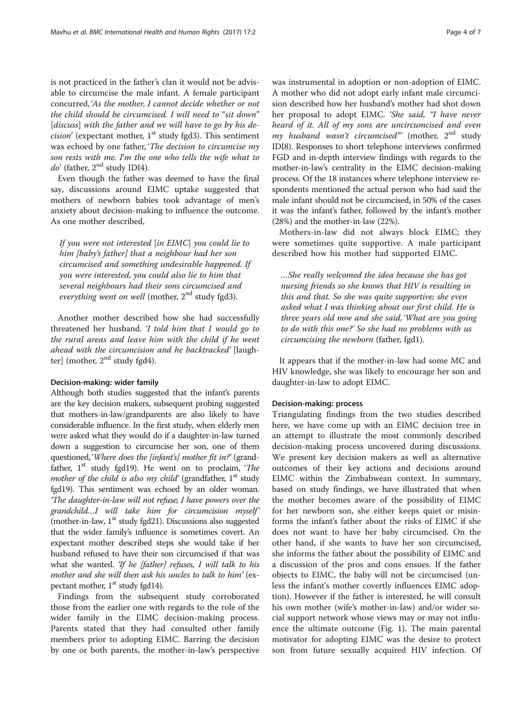is not practiced in the father's clan it would not be advisable to circumcise the male infant. A female participant concurred, 'As the mother, I cannot decide whether or not the child should be circumcised. I will need to "sit down"  $[discuss]$  with the father and we will have to go by his de*cision'* (expectant mother,  $1<sup>st</sup>$  study fgd3). This sentiment was echoed by one father, 'The decision to circumcise my son rests with me. I'm the one who tells the wife what to  $do'$  (father,  $2<sup>nd</sup>$  study IDI4).

Even though the father was deemed to have the final say, discussions around EIMC uptake suggested that mothers of newborn babies took advantage of men's anxiety about decision-making to influence the outcome. As one mother described,

If you were not interested [in EIMC] you could lie to him [baby's father] that a neighbour had her son circumcised and something undesirable happened. If you were interested, you could also lie to him that several neighbours had their sons circumcised and everything went on well (mother,  $2<sup>nd</sup>$  study fgd3).

Another mother described how she had successfully threatened her husband. 'I told him that I would go to the rural areas and leave him with the child if he went ahead with the circumcision and he backtracked' [laughter] (mother,  $2<sup>nd</sup>$  study fgd4).

#### Decision-making: wider family

Although both studies suggested that the infant's parents are the key decision makers, subsequent probing suggested that mothers-in-law/grandparents are also likely to have considerable influence. In the first study, when elderly men were asked what they would do if a daughter-in-law turned down a suggestion to circumcise her son, one of them questioned, 'Where does the [infant's] mother fit in?' (grandfather,  $1^{st}$  study fgd19). He went on to proclaim, 'The mother of the child is also my child' (grandfather,  $1<sup>st</sup>$  study fgd19). This sentiment was echoed by an older woman. 'The daughter-in-law will not refuse; I have powers over the grandchild…I will take him for circumcision myself' (mother-in-law,  $1<sup>st</sup>$  study fgd21). Discussions also suggested that the wider family's influence is sometimes covert. An expectant mother described steps she would take if her husband refused to have their son circumcised if that was what she wanted. 'If he [father] refuses, I will talk to his mother and she will then ask his uncles to talk to him' (expectant mother,  $1<sup>st</sup>$  study fgd14).

Findings from the subsequent study corroborated those from the earlier one with regards to the role of the wider family in the EIMC decision-making process. Parents stated that they had consulted other family members prior to adopting EIMC. Barring the decision by one or both parents, the mother-in-law's perspective was instrumental in adoption or non-adoption of EIMC. A mother who did not adopt early infant male circumcision described how her husband's mother had shot down her proposal to adopt EIMC. 'She said, "I have never heard of it. All of my sons are uncircumcised and even my husband wasn't circumcised"' (mother,  $2<sup>nd</sup>$  study IDI8). Responses to short telephone interviews confirmed FGD and in-depth interview findings with regards to the mother-in-law's centrality in the EIMC decision-making process. Of the 18 instances where telephone interview respondents mentioned the actual person who had said the male infant should not be circumcised, in 50% of the cases it was the infant's father, followed by the infant's mother (28%) and the mother-in-law (22%).

Mothers-in-law did not always block EIMC; they were sometimes quite supportive. A male participant described how his mother had supported EIMC.

…She really welcomed the idea because she has got nursing friends so she knows that HIV is resulting in this and that. So she was quite supportive; she even asked what I was thinking about our first child. He is three years old now and she said, 'What are you going to do with this one?' So she had no problems with us circumcising the newborn (father, fgd1).

It appears that if the mother-in-law had some MC and HIV knowledge, she was likely to encourage her son and daughter-in-law to adopt EIMC.

## Decision-making: process

Triangulating findings from the two studies described here, we have come up with an EIMC decision tree in an attempt to illustrate the most commonly described decision-making process uncovered during discussions. We present key decision makers as well as alternative outcomes of their key actions and decisions around EIMC within the Zimbabwean context. In summary, based on study findings, we have illustrated that when the mother becomes aware of the possibility of EIMC for her newborn son, she either keeps quiet or misinforms the infant's father about the risks of EIMC if she does not want to have her baby circumcised. On the other hand, if she wants to have her son circumcised, she informs the father about the possibility of EIMC and a discussion of the pros and cons ensues. If the father objects to EIMC, the baby will not be circumcised (unless the infant's mother covertly influences EIMC adoption). However if the father is interested, he will consult his own mother (wife's mother-in-law) and/or wider social support network whose views may or may not influence the ultimate outcome (Fig. [1](#page-4-0)). The main parental motivator for adopting EIMC was the desire to protect son from future sexually acquired HIV infection. Of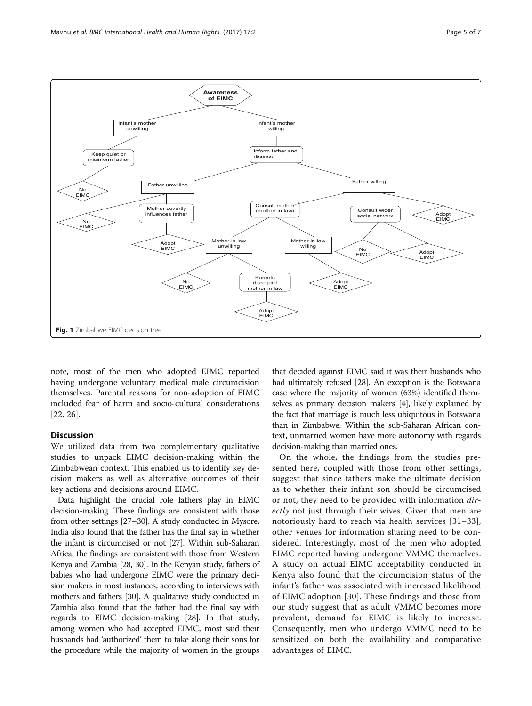<span id="page-4-0"></span>

note, most of the men who adopted EIMC reported having undergone voluntary medical male circumcision themselves. Parental reasons for non-adoption of EIMC included fear of harm and socio-cultural considerations [[22, 26\]](#page-6-0).

## Discussion

We utilized data from two complementary qualitative studies to unpack EIMC decision-making within the Zimbabwean context. This enabled us to identify key decision makers as well as alternative outcomes of their key actions and decisions around EIMC.

Data highlight the crucial role fathers play in EIMC decision-making. These findings are consistent with those from other settings [\[27](#page-6-0)–[30\]](#page-6-0). A study conducted in Mysore, India also found that the father has the final say in whether the infant is circumcised or not [\[27\]](#page-6-0). Within sub-Saharan Africa, the findings are consistent with those from Western Kenya and Zambia [\[28](#page-6-0), [30\]](#page-6-0). In the Kenyan study, fathers of babies who had undergone EIMC were the primary decision makers in most instances, according to interviews with mothers and fathers [[30](#page-6-0)]. A qualitative study conducted in Zambia also found that the father had the final say with regards to EIMC decision-making [\[28\]](#page-6-0). In that study, among women who had accepted EIMC, most said their husbands had 'authorized' them to take along their sons for the procedure while the majority of women in the groups that decided against EIMC said it was their husbands who had ultimately refused [\[28\]](#page-6-0). An exception is the Botswana case where the majority of women (63%) identified themselves as primary decision makers [[4](#page-6-0)], likely explained by the fact that marriage is much less ubiquitous in Botswana than in Zimbabwe. Within the sub-Saharan African context, unmarried women have more autonomy with regards decision-making than married ones.

On the whole, the findings from the studies presented here, coupled with those from other settings, suggest that since fathers make the ultimate decision as to whether their infant son should be circumcised or not, they need to be provided with information directly not just through their wives. Given that men are notoriously hard to reach via health services [[31](#page-6-0)–[33](#page-6-0)], other venues for information sharing need to be considered. Interestingly, most of the men who adopted EIMC reported having undergone VMMC themselves. A study on actual EIMC acceptability conducted in Kenya also found that the circumcision status of the infant's father was associated with increased likelihood of EIMC adoption [[30](#page-6-0)]. These findings and those from our study suggest that as adult VMMC becomes more prevalent, demand for EIMC is likely to increase. Consequently, men who undergo VMMC need to be sensitized on both the availability and comparative advantages of EIMC.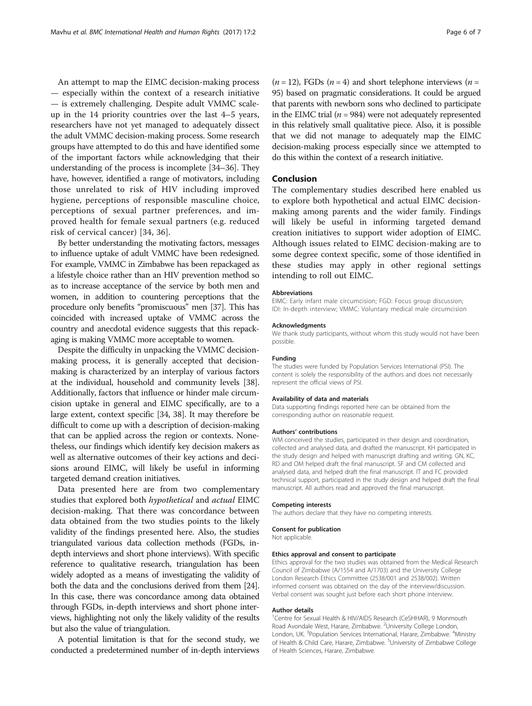An attempt to map the EIMC decision-making process — especially within the context of a research initiative — is extremely challenging. Despite adult VMMC scaleup in the 14 priority countries over the last 4–5 years, researchers have not yet managed to adequately dissect the adult VMMC decision-making process. Some research groups have attempted to do this and have identified some of the important factors while acknowledging that their understanding of the process is incomplete [[34](#page-6-0)–[36\]](#page-6-0). They have, however, identified a range of motivators, including those unrelated to risk of HIV including improved hygiene, perceptions of responsible masculine choice, perceptions of sexual partner preferences, and improved health for female sexual partners (e.g. reduced risk of cervical cancer) [[34, 36](#page-6-0)].

By better understanding the motivating factors, messages to influence uptake of adult VMMC have been redesigned. For example, VMMC in Zimbabwe has been repackaged as a lifestyle choice rather than an HIV prevention method so as to increase acceptance of the service by both men and women, in addition to countering perceptions that the procedure only benefits "promiscuous" men [[37\]](#page-6-0). This has coincided with increased uptake of VMMC across the country and anecdotal evidence suggests that this repackaging is making VMMC more acceptable to women.

Despite the difficulty in unpacking the VMMC decisionmaking process, it is generally accepted that decisionmaking is characterized by an interplay of various factors at the individual, household and community levels [[38](#page-6-0)]. Additionally, factors that influence or hinder male circumcision uptake in general and EIMC specifically, are to a large extent, context specific [[34, 38](#page-6-0)]. It may therefore be difficult to come up with a description of decision-making that can be applied across the region or contexts. Nonetheless, our findings which identify key decision makers as well as alternative outcomes of their key actions and decisions around EIMC, will likely be useful in informing targeted demand creation initiatives.

Data presented here are from two complementary studies that explored both hypothetical and actual EIMC decision-making. That there was concordance between data obtained from the two studies points to the likely validity of the findings presented here. Also, the studies triangulated various data collection methods (FGDs, indepth interviews and short phone interviews). With specific reference to qualitative research, triangulation has been widely adopted as a means of investigating the validity of both the data and the conclusions derived from them [\[24](#page-6-0)]. In this case, there was concordance among data obtained through FGDs, in-depth interviews and short phone interviews, highlighting not only the likely validity of the results but also the value of triangulation.

A potential limitation is that for the second study, we conducted a predetermined number of in-depth interviews  $(n = 12)$ , FGDs  $(n = 4)$  and short telephone interviews  $(n = 12)$ 95) based on pragmatic considerations. It could be argued that parents with newborn sons who declined to participate in the EIMC trial ( $n = 984$ ) were not adequately represented in this relatively small qualitative piece. Also, it is possible that we did not manage to adequately map the EIMC decision-making process especially since we attempted to do this within the context of a research initiative.

## Conclusion

The complementary studies described here enabled us to explore both hypothetical and actual EIMC decisionmaking among parents and the wider family. Findings will likely be useful in informing targeted demand creation initiatives to support wider adoption of EIMC. Although issues related to EIMC decision-making are to some degree context specific, some of those identified in these studies may apply in other regional settings intending to roll out EIMC.

#### Abbreviations

EIMC: Early infant male circumcision; FGD: Focus group discussion; IDI: In-depth interview; VMMC: Voluntary medical male circumcision

#### Acknowledgments

We thank study participants, without whom this study would not have been possible.

#### Funding

The studies were funded by Population Services International (PSI). The content is solely the responsibility of the authors and does not necessarily represent the official views of PSI.

#### Availability of data and materials

Data supporting findings reported here can be obtained from the corresponding author on reasonable request.

#### Authors' contributions

WM conceived the studies, participated in their design and coordination, collected and analysed data, and drafted the manuscript. KH participated in the study design and helped with manuscript drafting and writing. GN, KC, RD and OM helped draft the final manuscript. SF and CM collected and analysed data, and helped draft the final manuscript. IT and FC provided technical support, participated in the study design and helped draft the final manuscript. All authors read and approved the final manuscript.

#### Competing interests

The authors declare that they have no competing interests.

#### Consent for publication

Not applicable.

#### Ethics approval and consent to participate

Ethics approval for the two studies was obtained from the Medical Research Council of Zimbabwe (A/1554 and A/1703) and the University College London Research Ethics Committee (2538/001 and 2538/002). Written informed consent was obtained on the day of the interview/discussion. Verbal consent was sought just before each short phone interview.

#### Author details

<sup>1</sup> Centre for Sexual Health & HIV/AIDS Research (CeSHHAR), 9 Monmouth Road Avondale West, Harare, Zimbabwe. <sup>2</sup>University College London, London, UK.<sup>3</sup> Population Services International, Harare, Zimbabwe.<sup>4</sup> Ministry of Health & Child Care, Harare, Zimbabwe. <sup>5</sup>University of Zimbabwe College of Health Sciences, Harare, Zimbabwe.